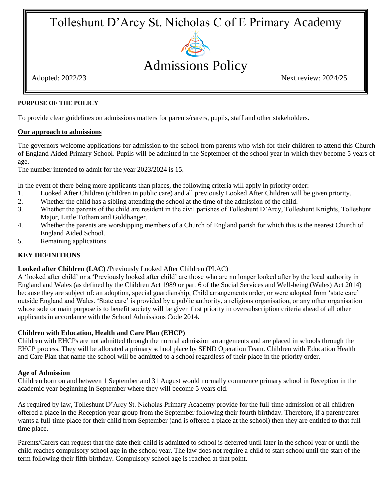# Tolleshunt D'Arcy St. Nicholas C of E Primary Academy



# Admissions Policy

Adopted: 2022/23 Next review: 2024/25

# **PURPOSE OF THE POLICY**

To provide clear guidelines on admissions matters for parents/carers, pupils, staff and other stakeholders.

## **Our approach to admissions**

The governors welcome applications for admission to the school from parents who wish for their children to attend this Church of England Aided Primary School. Pupils will be admitted in the September of the school year in which they become 5 years of age.

The number intended to admit for the year 2023/2024 is 15.

In the event of there being more applicants than places, the following criteria will apply in priority order:

- 1. Looked After Children (children in public care) and all previously Looked After Children will be given priority.
- 2. Whether the child has a sibling attending the school at the time of the admission of the child.
- 3. Whether the parents of the child are resident in the civil parishes of Tolleshunt D'Arcy, Tolleshunt Knights, Tolleshunt Major, Little Totham and Goldhanger.
- 4. Whether the parents are worshipping members of a Church of England parish for which this is the nearest Church of England Aided School.
- 5. Remaining applications

# **KEY DEFINITIONS**

# **Looked after Children (LAC) /**Previously Looked After Children (PLAC)

A 'looked after child' or a 'Previously looked after child' are those who are no longer looked after by the local authority in England and Wales (as defined by the Children Act 1989 or part 6 of the Social Services and Well-being (Wales) Act 2014) because they are subject of: an adoption, special guardianship, Child arrangements order, or were adopted from 'state care' outside England and Wales. 'State care' is provided by a public authority, a religious organisation, or any other organisation whose sole or main purpose is to benefit society will be given first priority in oversubscription criteria ahead of all other applicants in accordance with the School Admissions Code 2014.

#### **Children with Education, Health and Care Plan (EHCP)**

Children with EHCPs are not admitted through the normal admission arrangements and are placed in schools through the EHCP process. They will be allocated a primary school place by SEND Operation Team. Children with Education Health and Care Plan that name the school will be admitted to a school regardless of their place in the priority order.

#### **Age of Admission**

Children born on and between 1 September and 31 August would normally commence primary school in Reception in the academic year beginning in September where they will become 5 years old.

As required by law, Tolleshunt D'Arcy St. Nicholas Primary Academy provide for the full-time admission of all children offered a place in the Reception year group from the September following their fourth birthday. Therefore, if a parent/carer wants a full-time place for their child from September (and is offered a place at the school) then they are entitled to that fulltime place.

Parents/Carers can request that the date their child is admitted to school is deferred until later in the school year or until the child reaches compulsory school age in the school year. The law does not require a child to start school until the start of the term following their fifth birthday. Compulsory school age is reached at that point.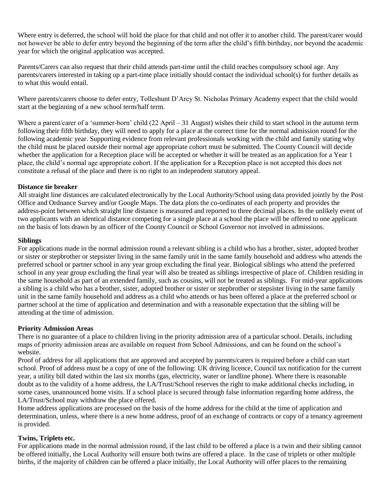Where entry is deferred, the school will hold the place for that child and not offer it to another child. The parent/carer would not however be able to defer entry beyond the beginning of the term after the child's fifth birthday, nor beyond the academic year for which the original application was accepted.

Parents/Carers can also request that their child attends part-time until the child reaches compulsory school age. Any parents/carers interested in taking up a part-time place initially should contact the individual school(s) for further details as to what this would entail.

Where parents/carers choose to defer entry, Tolleshunt D'Arcy St. Nicholas Primary Academy expect that the child would start at the beginning of a new school term/half term.

Where a parent/carer of a 'summer-born' child  $(22$  April – 31 August) wishes their child to start school in the autumn term following their fifth birthday, they will need to apply for a place at the correct time for the normal admission round for the following academic year. Supporting evidence from relevant professionals working with the child and family stating why the child must be placed outside their normal age appropriate cohort must be submitted. The County Council will decide whether the application for a Reception place will be accepted or whether it will be treated as an application for a Year 1 place, the child's normal age appropriate cohort. If the application for a Reception place is not accepted this does not constitute a refusal of the place and there is no right to an independent statutory appeal.

#### **Distance tie breaker**

All straight line distances are calculated electronically by the Local Authority/School using data provided jointly by the Post Office and Ordnance Survey and/or Google Maps. The data plots the co-ordinates of each property and provides the address-point between which straight line distance is measured and reported to three decimal places. In the unlikely event of two applicants with an identical distance competing for a single place at a school the place will be offered to one applicant on the basis of lots drawn by an officer of the County Council or School Governor not involved in admissions.

## **Siblings**

For applications made in the normal admission round a relevant sibling is a child who has a brother, sister, adopted brother or sister or stepbrother or stepsister living in the same family unit in the same family household and address who attends the preferred school or partner school in any year group excluding the final year. Biological siblings who attend the preferred school in any year group excluding the final year will also be treated as siblings irrespective of place of. Children residing in the same household as part of an extended family, such as cousins, will not be treated as siblings. For mid-year applications a sibling is a child who has a brother, sister, adopted brother or sister or stepbrother or stepsister living in the same family unit in the same family household and address as a child who attends or has been offered a place at the preferred school or partner school at the time of application and determination and with a reasonable expectation that the sibling will be attending at the time of admission.

# **Priority Admission Areas**

There is no guarantee of a place to children living in the priority admission area of a particular school. Details, including maps of priority admission areas are available on request from School Admissions, and can be found on the school's website.

Proof of address for all applications that are approved and accepted by parents/carers is required before a child can start school. Proof of address must be a copy of one of the following: UK driving licence, Council tax notification for the current year, a utility bill dated within the last six months (gas, electricity, water or landline phone). Where there is reasonable doubt as to the validity of a home address, the LA/Trust/School reserves the right to make additional checks including, in some cases, unannounced home visits. If a school place is secured through false information regarding home address, the LA/Trust/School may withdraw the place offered.

Home address applications are processed on the basis of the home address for the child at the time of application and determination, unless, where there is a new home address, proof of an exchange of contracts or copy of a tenancy agreement is provided.

#### **Twins, Triplets etc.**

For applications made in the normal admission round, if the last child to be offered a place is a twin and their sibling cannot be offered initially, the Local Authority will ensure both twins are offered a place. In the case of triplets or other multiple births, if the majority of children can be offered a place initially, the Local Authority will offer places to the remaining